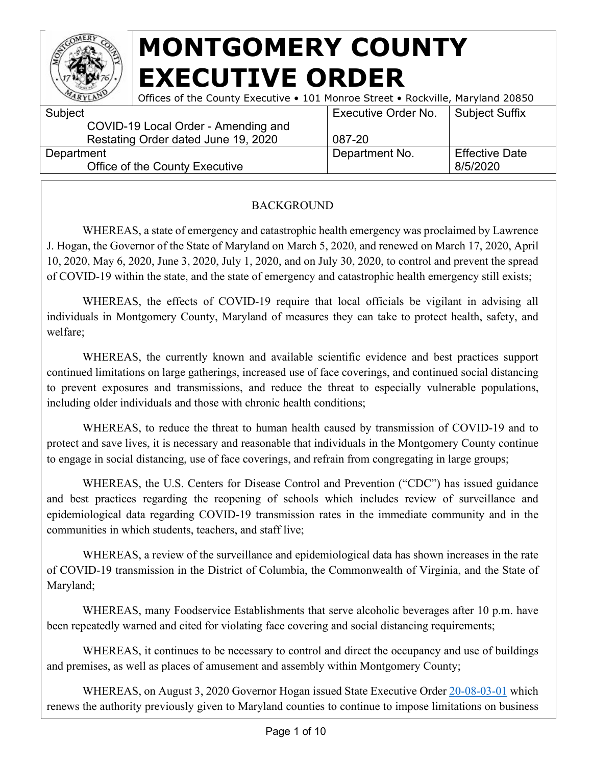

| ARYLAN     | Offices of the County Executive • 101 Monroe Street • Rockville, Maryland 20850 |                            |                       |
|------------|---------------------------------------------------------------------------------|----------------------------|-----------------------|
| Subject    |                                                                                 | <b>Executive Order No.</b> | Subject Suffix        |
|            | COVID-19 Local Order - Amending and                                             |                            |                       |
|            | Restating Order dated June 19, 2020                                             | 087-20                     |                       |
| Department |                                                                                 | Department No.             | <b>Effective Date</b> |
|            | Office of the County Executive                                                  |                            | 8/5/2020              |
|            |                                                                                 |                            |                       |

#### BACKGROUND

WHEREAS, a state of emergency and catastrophic health emergency was proclaimed by Lawrence J. Hogan, the Governor of the State of Maryland on March 5, 2020, and renewed on March 17, 2020, April 10, 2020, May 6, 2020, June 3, 2020, July 1, 2020, and on July 30, 2020, to control and prevent the spread of COVID-19 within the state, and the state of emergency and catastrophic health emergency still exists;

WHEREAS, the effects of COVID-19 require that local officials be vigilant in advising all individuals in Montgomery County, Maryland of measures they can take to protect health, safety, and welfare;

WHEREAS, the currently known and available scientific evidence and best practices support continued limitations on large gatherings, increased use of face coverings, and continued social distancing to prevent exposures and transmissions, and reduce the threat to especially vulnerable populations, including older individuals and those with chronic health conditions;

WHEREAS, to reduce the threat to human health caused by transmission of COVID-19 and to protect and save lives, it is necessary and reasonable that individuals in the Montgomery County continue to engage in social distancing, use of face coverings, and refrain from congregating in large groups;

WHEREAS, the U.S. Centers for Disease Control and Prevention ("CDC") has issued guidance and best practices regarding the reopening of schools which includes review of surveillance and epidemiological data regarding COVID-19 transmission rates in the immediate community and in the communities in which students, teachers, and staff live;

WHEREAS, a review of the surveillance and epidemiological data has shown increases in the rate of COVID-19 transmission in the District of Columbia, the Commonwealth of Virginia, and the State of Maryland;

WHEREAS, many Foodservice Establishments that serve alcoholic beverages after 10 p.m. have been repeatedly warned and cited for violating face covering and social distancing requirements;

WHEREAS, it continues to be necessary to control and direct the occupancy and use of buildings and premises, as well as places of amusement and assembly within Montgomery County;

WHEREAS, on August 3, 2020 Governor Hogan issued State Executive Order [20-08-03-01](https://governor.maryland.gov/wp-content/uploads/2020/08/2020-08-03-11-08.pdf) which renews the authority previously given to Maryland counties to continue to impose limitations on business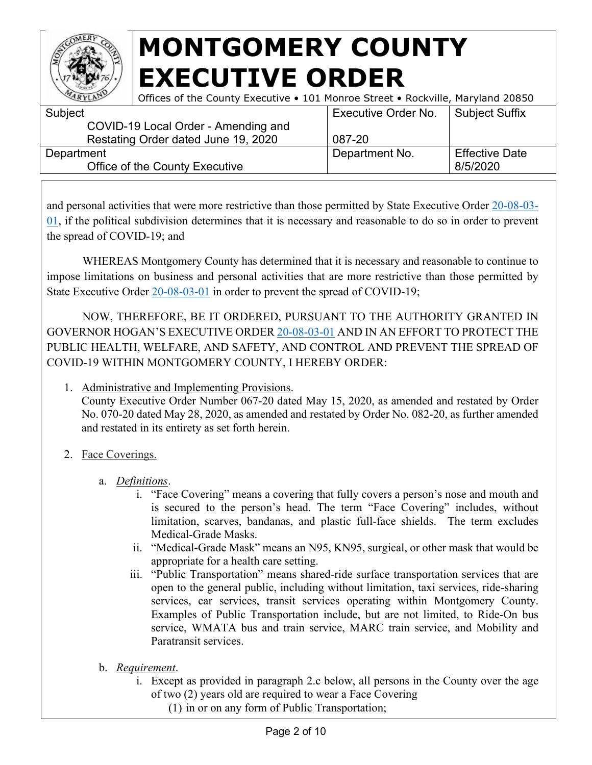

| ARYLAN     | Offices of the County Executive • 101 Monroe Street • Rockville, Maryland 20850 |                            |                       |
|------------|---------------------------------------------------------------------------------|----------------------------|-----------------------|
| Subject    |                                                                                 | <b>Executive Order No.</b> | Subject Suffix        |
|            | COVID-19 Local Order - Amending and                                             |                            |                       |
|            | Restating Order dated June 19, 2020                                             | 087-20                     |                       |
| Department |                                                                                 | Department No.             | <b>Effective Date</b> |
|            | Office of the County Executive                                                  |                            | 8/5/2020              |
|            |                                                                                 |                            |                       |

and personal activities that were more restrictive than those permitted by State Executive Order [20-08-03-](https://governor.maryland.gov/wp-content/uploads/2020/08/2020-08-03-11-08.pdf) [01,](https://governor.maryland.gov/wp-content/uploads/2020/08/2020-08-03-11-08.pdf) if the political subdivision determines that it is necessary and reasonable to do so in order to prevent the spread of COVID-19; and

WHEREAS Montgomery County has determined that it is necessary and reasonable to continue to impose limitations on business and personal activities that are more restrictive than those permitted by State Executive Order [20-08-03-01](https://governor.maryland.gov/wp-content/uploads/2020/08/2020-08-03-11-08.pdf) in order to prevent the spread of COVID-19;

NOW, THEREFORE, BE IT ORDERED, PURSUANT TO THE AUTHORITY GRANTED IN GOVERNOR HOGAN'S EXECUTIVE ORDER [20-08-03-01](https://governor.maryland.gov/wp-content/uploads/2020/08/2020-08-03-11-08.pdf) AND IN AN EFFORT TO PROTECT THE PUBLIC HEALTH, WELFARE, AND SAFETY, AND CONTROL AND PREVENT THE SPREAD OF COVID-19 WITHIN MONTGOMERY COUNTY, I HEREBY ORDER:

1. Administrative and Implementing Provisions.

County Executive Order Number 067-20 dated May 15, 2020, as amended and restated by Order No. 070-20 dated May 28, 2020, as amended and restated by Order No. 082-20, as further amended and restated in its entirety as set forth herein.

- 2. Face Coverings.
	- a. *Definitions*.
		- i. "Face Covering" means a covering that fully covers a person's nose and mouth and is secured to the person's head. The term "Face Covering" includes, without limitation, scarves, bandanas, and plastic full-face shields. The term excludes Medical-Grade Masks.
		- ii. "Medical-Grade Mask" means an N95, KN95, surgical, or other mask that would be appropriate for a health care setting.
		- iii. "Public Transportation" means shared-ride surface transportation services that are open to the general public, including without limitation, taxi services, ride-sharing services, car services, transit services operating within Montgomery County. Examples of Public Transportation include, but are not limited, to Ride-On bus service, WMATA bus and train service, MARC train service, and Mobility and Paratransit services.
	- b. *Requirement*.
		- i. Except as provided in paragraph 2.c below, all persons in the County over the age of two (2) years old are required to wear a Face Covering
			- (1) in or on any form of Public Transportation;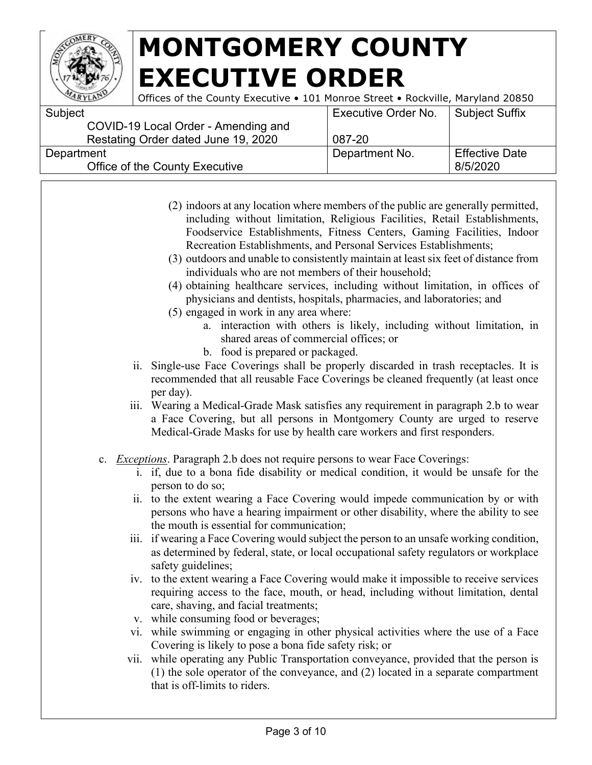

Offices of the County Executive • 101 Monroe Street • Rockville, Maryland 20850

| Subject                             | <b>Executive Order No.</b> | <b>Subject Suffix</b> |
|-------------------------------------|----------------------------|-----------------------|
| COVID-19 Local Order - Amending and |                            |                       |
| Restating Order dated June 19, 2020 | 087-20                     |                       |
| Department                          | Department No.             | <b>Effective Date</b> |
| Office of the County Executive      |                            | 8/5/2020              |
|                                     |                            |                       |

- (2) indoors at any location where members of the public are generally permitted, including without limitation, Religious Facilities, Retail Establishments, Foodservice Establishments, Fitness Centers, Gaming Facilities, Indoor Recreation Establishments, and Personal Services Establishments;
- (3) outdoors and unable to consistently maintain at least six feet of distance from individuals who are not members of their household;
- (4) obtaining healthcare services, including without limitation, in offices of physicians and dentists, hospitals, pharmacies, and laboratories; and
- (5) engaged in work in any area where:
	- a. interaction with others is likely, including without limitation, in shared areas of commercial offices; or
	- b. food is prepared or packaged.
- ii. Single-use Face Coverings shall be properly discarded in trash receptacles. It is recommended that all reusable Face Coverings be cleaned frequently (at least once per day).
- iii. Wearing a Medical-Grade Mask satisfies any requirement in paragraph 2.b to wear a Face Covering, but all persons in Montgomery County are urged to reserve Medical-Grade Masks for use by health care workers and first responders.
- c. *Exceptions*. Paragraph 2.b does not require persons to wear Face Coverings:
	- i. if, due to a bona fide disability or medical condition, it would be unsafe for the person to do so;
	- ii. to the extent wearing a Face Covering would impede communication by or with persons who have a hearing impairment or other disability, where the ability to see the mouth is essential for communication;
	- iii. if wearing a Face Covering would subject the person to an unsafe working condition, as determined by federal, state, or local occupational safety regulators or workplace safety guidelines;
	- iv. to the extent wearing a Face Covering would make it impossible to receive services requiring access to the face, mouth, or head, including without limitation, dental care, shaving, and facial treatments;
	- v. while consuming food or beverages;
	- vi. while swimming or engaging in other physical activities where the use of a Face Covering is likely to pose a bona fide safety risk; or
	- vii. while operating any Public Transportation conveyance, provided that the person is (1) the sole operator of the conveyance, and (2) located in a separate compartment that is off-limits to riders.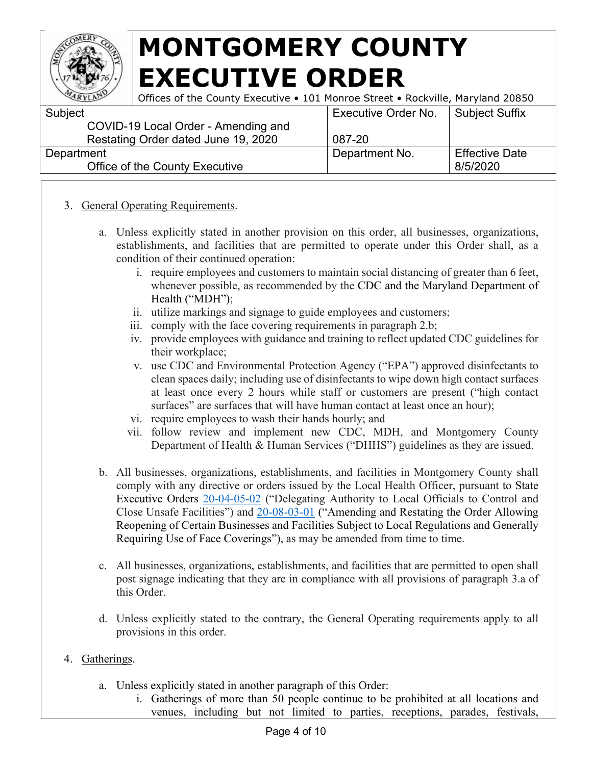

Subject

# **MONTGOMERY COUNTY EXECUTIVE ORDER**

Offices of the County Executive • 101 Monroe Street • Rockville, Maryland 20850 Executive Order No. Subject Suffix

| <b>UUULUU</b>                       | LACCULIVE OTUCH TVU. | <b>OUDICOL OUITIA</b> |
|-------------------------------------|----------------------|-----------------------|
| COVID-19 Local Order - Amending and |                      |                       |
| Restating Order dated June 19, 2020 | 087-20               |                       |
| Department                          | Department No.       | <b>Effective Date</b> |
| Office of the County Executive      |                      | 8/5/2020              |
|                                     |                      |                       |

#### 3. General Operating Requirements.

- a. Unless explicitly stated in another provision on this order, all businesses, organizations, establishments, and facilities that are permitted to operate under this Order shall, as a condition of their continued operation:
	- i. require employees and customers to maintain social distancing of greater than 6 feet, whenever possible, as recommended by the CDC and the Maryland Department of Health ("MDH");
	- ii. utilize markings and signage to guide employees and customers;
	- iii. comply with the face covering requirements in paragraph 2.b;
	- iv. provide employees with guidance and training to reflect updated CDC guidelines for their workplace;
	- v. use CDC and Environmental Protection Agency ("EPA") approved disinfectants to clean spaces daily; including use of disinfectants to wipe down high contact surfaces at least once every 2 hours while staff or customers are present ("high contact surfaces" are surfaces that will have human contact at least once an hour);
	- vi. require employees to wash their hands hourly; and
	- vii. follow review and implement new CDC, MDH, and Montgomery County Department of Health & Human Services ("DHHS") guidelines as they are issued.
- b. All businesses, organizations, establishments, and facilities in Montgomery County shall comply with any directive or orders issued by the Local Health Officer, pursuant to State Executive Orders [20-04-05-02](https://governor.maryland.gov/wp-content/uploads/2020/04/Delegation-to-County-Health-Officials-4.5.20.pdf) ("Delegating Authority to Local Officials to Control and Close Unsafe Facilities") and [20-08-03-01](https://governor.maryland.gov/wp-content/uploads/2020/08/2020-08-03-11-08.pdf) ("Amending and Restating the Order Allowing Reopening of Certain Businesses and Facilities Subject to Local Regulations and Generally Requiring Use of Face Coverings"), as may be amended from time to time.
- c. All businesses, organizations, establishments, and facilities that are permitted to open shall post signage indicating that they are in compliance with all provisions of paragraph 3.a of this Order.
- d. Unless explicitly stated to the contrary, the General Operating requirements apply to all provisions in this order.

#### 4. Gatherings.

- a. Unless explicitly stated in another paragraph of this Order:
	- i. Gatherings of more than 50 people continue to be prohibited at all locations and venues, including but not limited to parties, receptions, parades, festivals,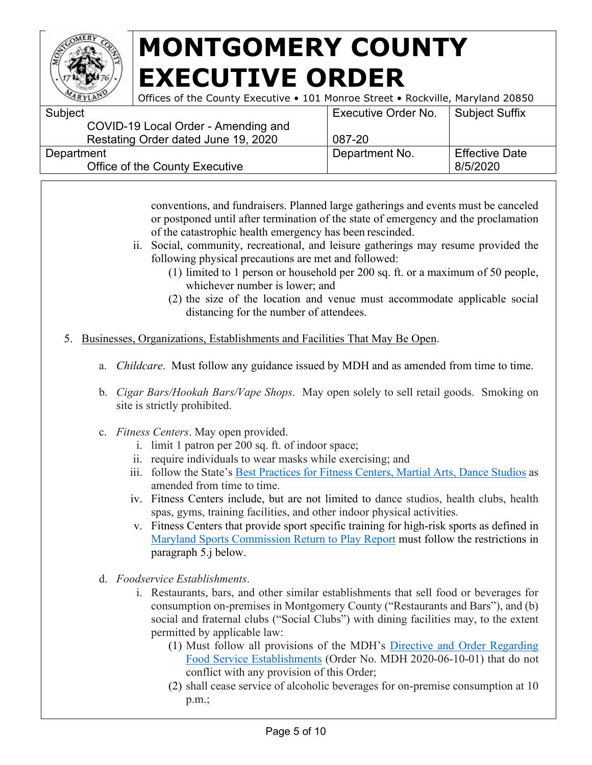

Offices of the County Executive • 101 Monroe Street • Rockville, Maryland 20850

| Subject                             | <b>Executive Order No.</b> | <b>Subject Suffix</b> |
|-------------------------------------|----------------------------|-----------------------|
| COVID-19 Local Order - Amending and |                            |                       |
| Restating Order dated June 19, 2020 | 087-20                     |                       |
| Department                          | Department No.             | <b>Effective Date</b> |
| Office of the County Executive      |                            | 8/5/2020              |
|                                     |                            |                       |

conventions, and fundraisers. Planned large gatherings and events must be canceled or postponed until after termination of the state of emergency and the proclamation of the catastrophic health emergency has been rescinded.

- ii. Social, community, recreational, and leisure gatherings may resume provided the following physical precautions are met and followed:
	- (1) limited to 1 person or household per 200 sq. ft. or a maximum of 50 people, whichever number is lower; and
	- (2) the size of the location and venue must accommodate applicable social distancing for the number of attendees.
- 5. Businesses, Organizations, Establishments and Facilities That May Be Open.
	- a. *Childcare*. Must follow any guidance issued by MDH and as amended from time to time.
	- b. *Cigar Bars/Hookah Bars/Vape Shops*. May open solely to sell retail goods. Smoking on site is strictly prohibited.
	- c. *Fitness Centers*. May open provided.
		- i. limit 1 patron per 200 sq. ft. of indoor space;
		- ii. require individuals to wear masks while exercising; and
		- iii. follow the State's [Best Practices for Fitness Centers, Martial Arts, Dance](https://drive.google.com/file/d/1CXRw_ERNJoKxzdj-am1R0Xn5wf_Hf3Q5/view) [Studios](https://drive.google.com/file/d/1CXRw_ERNJoKxzdj-am1R0Xn5wf_Hf3Q5/view) as amended from time to time.
		- iv. Fitness Centers include, but are not limited to dance studios, health clubs, health spas, gyms, training facilities, and other indoor physical activities.
		- v. Fitness Centers that provide sport specific training for high-risk sports as defined in [Maryland Sports Commission Return to Play Report](https://www.marylandsports.us/sites/default/files/Return2Play/MDSports_ReturntoPlay%20Report_0.pdf) must follow the restrictions in paragraph 5.j below.
	- d. *Foodservice Establishments*.
		- i. Restaurants, bars, and other similar establishments that sell food or beverages for consumption on-premises in Montgomery County ("Restaurants and Bars"), and (b) social and fraternal clubs ("Social Clubs") with dining facilities may, to the extent permitted by applicable law:
			- (1) Must follow all provisions of the MDH's [Directive and Order Regarding](https://phpa.health.maryland.gov/Documents/20.20.06.10.01%20-%20MDH%20Order%20-%20Food%20Service%20Establishments.pdf)  [Food](https://phpa.health.maryland.gov/Documents/20.20.06.10.01%20-%20MDH%20Order%20-%20Food%20Service%20Establishments.pdf) [Service Establishments](https://phpa.health.maryland.gov/Documents/20.20.06.10.01%20-%20MDH%20Order%20-%20Food%20Service%20Establishments.pdf) (Order No. MDH 2020-06-10-01) that do not conflict with any provision of this Order;
			- (2) shall cease service of alcoholic beverages for on-premise consumption at 10 p.m.;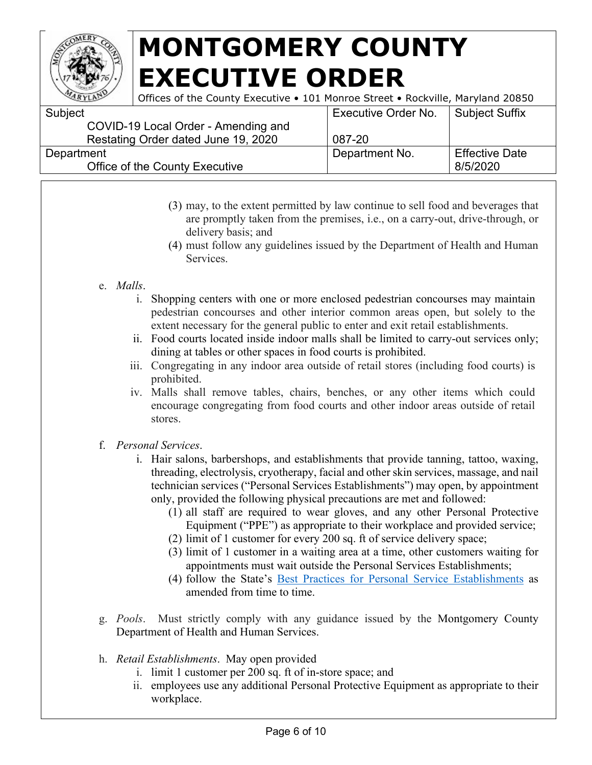

Offices of the County Executive • 101 Monroe Street • Rockville, Maryland 20850

| <b>Executive Order No.</b> | Subject Suffix        |
|----------------------------|-----------------------|
|                            |                       |
| 087-20                     |                       |
| Department No.             | <b>Effective Date</b> |
|                            | 8/5/2020              |
|                            |                       |

- (3) may, to the extent permitted by law continue to sell food and beverages that are promptly taken from the premises, i.e., on a carry-out, drive-through, or delivery basis; and
- (4) must follow any guidelines issued by the Department of Health and Human Services.
- e. *Malls*.
	- i. Shopping centers with one or more enclosed pedestrian concourses may maintain pedestrian concourses and other interior common areas open, but solely to the extent necessary for the general public to enter and exit retail establishments.
	- ii. Food courts located inside indoor malls shall be limited to carry-out services only; dining at tables or other spaces in food courts is prohibited.
	- iii. Congregating in any indoor area outside of retail stores (including food courts) is prohibited.
	- iv. Malls shall remove tables, chairs, benches, or any other items which could encourage congregating from food courts and other indoor areas outside of retail stores.
- f. *Personal Services*.
	- i. Hair salons, barbershops, and establishments that provide tanning, tattoo, waxing, threading, electrolysis, cryotherapy, facial and other skin services, massage, and nail technician services ("Personal Services Establishments") may open, by appointment only, provided the following physical precautions are met and followed:
		- (1) all staff are required to wear gloves, and any other Personal Protective Equipment ("PPE") as appropriate to their workplace and provided service;
		- (2) limit of 1 customer for every 200 sq. ft of service delivery space;
		- (3) limit of 1 customer in a waiting area at a time, other customers waiting for appointments must wait outside the Personal Services Establishments;
		- (4) follow the State's [Best Practices for Personal Service Establishments](https://commerce.maryland.gov/Documents/BusinessResource/Personal-Services-COVID-19-Best-Practices.pdf) as amended from time to time.
- g. *Pools*. Must strictly comply with any guidance issued by the Montgomery County Department of Health and Human Services.
- h. *Retail Establishments*. May open provided
	- i. limit 1 customer per 200 sq. ft of in-store space; and
	- ii. employees use any additional Personal Protective Equipment as appropriate to their workplace.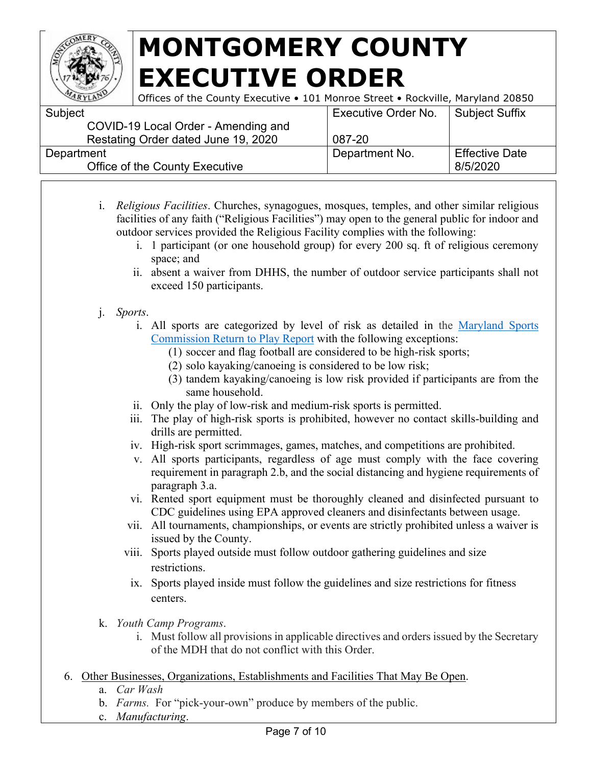

| ARYLANT    | Offices of the County Executive • 101 Monroe Street • Rockville, Maryland 20850 |                     |                       |
|------------|---------------------------------------------------------------------------------|---------------------|-----------------------|
| Subject    |                                                                                 | Executive Order No. | <b>Subject Suffix</b> |
|            | COVID-19 Local Order - Amending and                                             |                     |                       |
|            | Restating Order dated June 19, 2020                                             | 087-20              |                       |
| Department |                                                                                 | Department No.      | <b>Effective Date</b> |
|            | Office of the County Executive                                                  |                     | 8/5/2020              |

- i. *Religious Facilities*. Churches, synagogues, mosques, temples, and other similar religious facilities of any faith ("Religious Facilities") may open to the general public for indoor and outdoor services provided the Religious Facility complies with the following:
	- i. 1 participant (or one household group) for every 200 sq. ft of religious ceremony space; and
	- ii. absent a waiver from DHHS, the number of outdoor service participants shall not exceed 150 participants.
- j. *Sports*.
	- i. All sports are categorized by level of risk as detailed in the [Maryland Sports](https://www.marylandsports.us/sites/default/files/Return2Play/MDSports_ReturntoPlay%20Report_0.pdf)  [Commission Return to Play Report](https://www.marylandsports.us/sites/default/files/Return2Play/MDSports_ReturntoPlay%20Report_0.pdf) with the following exceptions:
		- (1) soccer and flag football are considered to be high-risk sports;
		- (2) solo kayaking/canoeing is considered to be low risk;
		- (3) tandem kayaking/canoeing is low risk provided if participants are from the same household.
	- ii. Only the play of low-risk and medium-risk sports is permitted.
	- iii. The play of high-risk sports is prohibited, however no contact skills-building and drills are permitted.
	- iv. High-risk sport scrimmages, games, matches, and competitions are prohibited.
	- v. All sports participants, regardless of age must comply with the face covering requirement in paragraph 2.b, and the social distancing and hygiene requirements of paragraph 3.a.
	- vi. Rented sport equipment must be thoroughly cleaned and disinfected pursuant to CDC guidelines using EPA approved cleaners and disinfectants between usage.
	- vii. All tournaments, championships, or events are strictly prohibited unless a waiver is issued by the County.
	- viii. Sports played outside must follow outdoor gathering guidelines and size restrictions.
	- ix. Sports played inside must follow the guidelines and size restrictions for fitness centers.
- k. *Youth Camp Programs*.
	- i. Must follow all provisions in applicable directives and orders issued by the Secretary of the MDH that do not conflict with this Order.
- 6. Other Businesses, Organizations, Establishments and Facilities That May Be Open.
	- a. *Car Wash*
	- b. *Farms.* For "pick-your-own" produce by members of the public.
	- c. *Manufacturing*.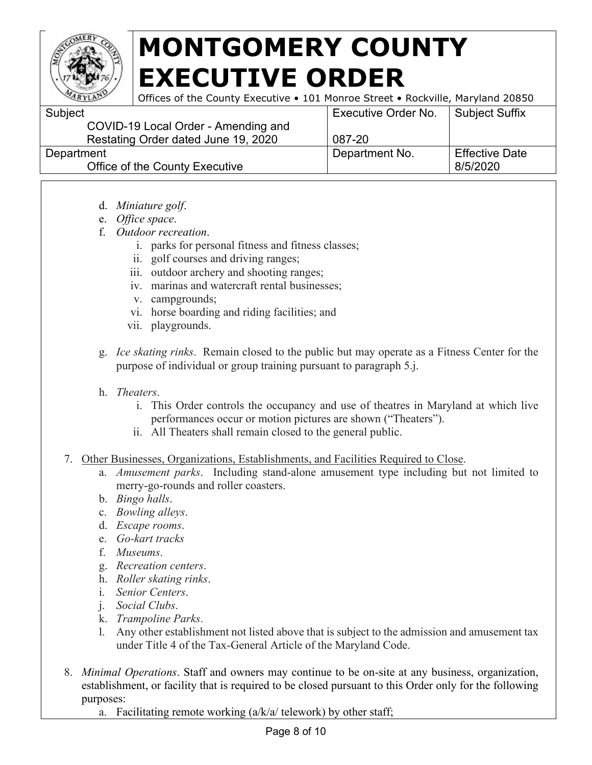

Offices of the County Executive • 101 Monroe Street • Rockville, Maryland 20850

| Subject                             | <b>Executive Order No.</b> | Subject Suffix        |
|-------------------------------------|----------------------------|-----------------------|
| COVID-19 Local Order - Amending and |                            |                       |
| Restating Order dated June 19, 2020 | 087-20                     |                       |
| Department                          | Department No.             | <b>Effective Date</b> |
| Office of the County Executive      |                            | 8/5/2020              |
|                                     |                            |                       |

- d. *Miniature golf*.
- e. *Office space*.
- f. *Outdoor recreation*.
	- i. parks for personal fitness and fitness classes;
	- ii. golf courses and driving ranges;
	- iii. outdoor archery and shooting ranges;
	- iv. marinas and watercraft rental businesses;
	- v. campgrounds;
	- vi. horse boarding and riding facilities; and
	- vii. playgrounds.
- g. *Ice skating rinks*. Remain closed to the public but may operate as a Fitness Center for the purpose of individual or group training pursuant to paragraph 5.j.
- h. *Theaters*.
	- i. This Order controls the occupancy and use of theatres in Maryland at which live performances occur or motion pictures are shown ("Theaters").
	- ii. All Theaters shall remain closed to the general public.
- 7. Other Businesses, Organizations, Establishments, and Facilities Required to Close.
	- a. *Amusement parks*. Including stand-alone amusement type including but not limited to merry-go-rounds and roller coasters.
	- b. *Bingo halls*.
	- c. *Bowling alleys*.
	- d. *Escape rooms*.
	- e. *Go-kart tracks*
	- f. *Museums*.
	- g. *Recreation centers*.
	- h. *Roller skating rinks*.
	- i. *Senior Centers*.
	- j. *Social Clubs*.
	- k. *Trampoline Parks*.
	- l. Any other establishment not listed above that is subject to the admission and amusement tax under Title 4 of the Tax-General Article of the Maryland Code.
- 8. *Minimal Operations*. Staff and owners may continue to be on-site at any business, organization, establishment, or facility that is required to be closed pursuant to this Order only for the following purposes:

a. Facilitating remote working  $(a/k/a / \text{telework})$  by other staff;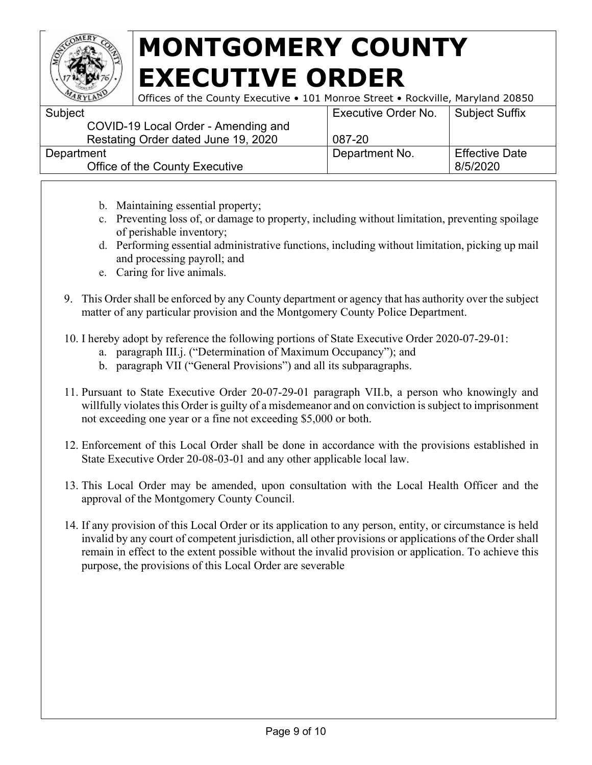

| ARYLAN     | Offices of the County Executive • 101 Monroe Street • Rockville, Maryland 20850 |                     |                       |
|------------|---------------------------------------------------------------------------------|---------------------|-----------------------|
| Subject    |                                                                                 | Executive Order No. | <b>Subject Suffix</b> |
|            | COVID-19 Local Order - Amending and                                             |                     |                       |
|            | Restating Order dated June 19, 2020                                             | 087-20              |                       |
| Department |                                                                                 | Department No.      | <b>Effective Date</b> |
|            | Office of the County Executive                                                  |                     | 8/5/2020              |

- b. Maintaining essential property;
- c. Preventing loss of, or damage to property, including without limitation, preventing spoilage of perishable inventory;
- d. Performing essential administrative functions, including without limitation, picking up mail and processing payroll; and
- e. Caring for live animals.
- 9. This Order shall be enforced by any County department or agency that has authority over the subject matter of any particular provision and the Montgomery County Police Department.
- 10. I hereby adopt by reference the following portions of State Executive Order 2020-07-29-01:
	- a. paragraph III.j. ("Determination of Maximum Occupancy"); and
	- b. paragraph VII ("General Provisions") and all its subparagraphs.
- 11. Pursuant to State Executive Order 20-07-29-01 paragraph VII.b, a person who knowingly and willfully violates this Order is guilty of a misdemeanor and on conviction is subject to imprisonment not exceeding one year or a fine not exceeding \$5,000 or both.
- 12. Enforcement of this Local Order shall be done in accordance with the provisions established in State Executive Order 20-08-03-01 and any other applicable local law.
- 13. This Local Order may be amended, upon consultation with the Local Health Officer and the approval of the Montgomery County Council.
- 14. If any provision of this Local Order or its application to any person, entity, or circumstance is held invalid by any court of competent jurisdiction, all other provisions or applications of the Order shall remain in effect to the extent possible without the invalid provision or application. To achieve this purpose, the provisions of this Local Order are severable